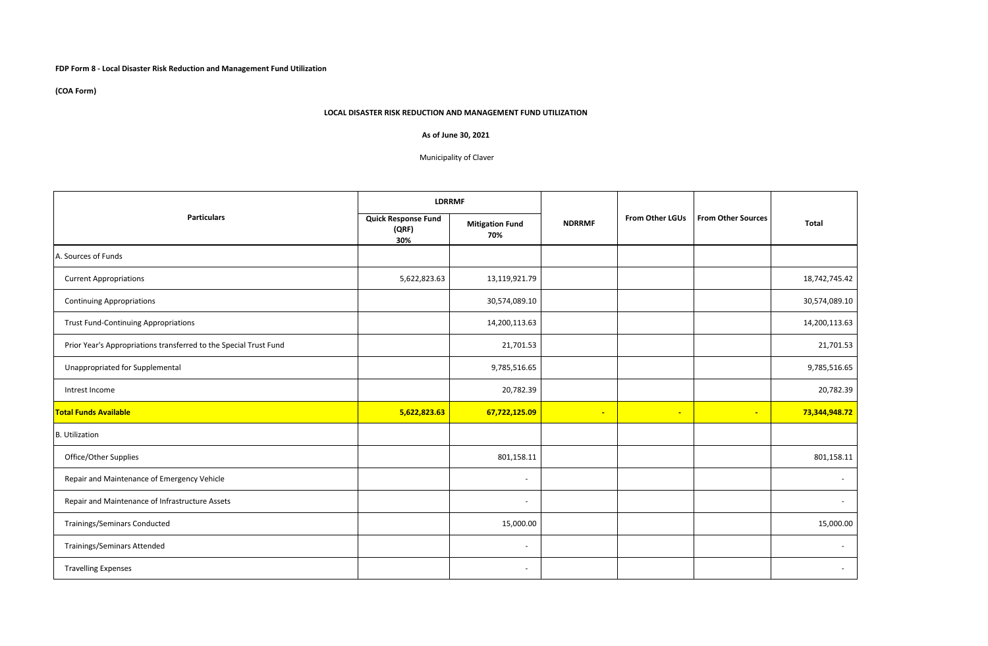## **FDP Form 8 - Local Disaster Risk Reduction and Management Fund Utilization**

**(COA Form)**

## **LOCAL DISASTER RISK REDUCTION AND MANAGEMENT FUND UTILIZATION**

## **As of June 30, 2021**

## Municipality of Claver

| <b>Particulars</b>                                                | <b>LDRRMF</b>                              |                               |               |                 |                           |                          |
|-------------------------------------------------------------------|--------------------------------------------|-------------------------------|---------------|-----------------|---------------------------|--------------------------|
|                                                                   | <b>Quick Response Fund</b><br>(QRF)<br>30% | <b>Mitigation Fund</b><br>70% | <b>NDRRMF</b> | From Other LGUs | <b>From Other Sources</b> | <b>Total</b>             |
| A. Sources of Funds                                               |                                            |                               |               |                 |                           |                          |
| <b>Current Appropriations</b>                                     | 5,622,823.63                               | 13,119,921.79                 |               |                 |                           | 18,742,745.42            |
| <b>Continuing Appropriations</b>                                  |                                            | 30,574,089.10                 |               |                 |                           | 30,574,089.10            |
| <b>Trust Fund-Continuing Appropriations</b>                       |                                            | 14,200,113.63                 |               |                 |                           | 14,200,113.63            |
| Prior Year's Appropriations transferred to the Special Trust Fund |                                            | 21,701.53                     |               |                 |                           | 21,701.53                |
| Unappropriated for Supplemental                                   |                                            | 9,785,516.65                  |               |                 |                           | 9,785,516.65             |
| Intrest Income                                                    |                                            | 20,782.39                     |               |                 |                           | 20,782.39                |
| <b>Total Funds Available</b>                                      | 5,622,823.63                               | 67,722,125.09                 | $\sim$        | $\sim$          | $\sim$                    | 73,344,948.72            |
| <b>B.</b> Utilization                                             |                                            |                               |               |                 |                           |                          |
| Office/Other Supplies                                             |                                            | 801,158.11                    |               |                 |                           | 801,158.11               |
| Repair and Maintenance of Emergency Vehicle                       |                                            | $\overline{\phantom{a}}$      |               |                 |                           | $\overline{\phantom{a}}$ |
| Repair and Maintenance of Infrastructure Assets                   |                                            | $\overline{\phantom{a}}$      |               |                 |                           | $\overline{a}$           |
| <b>Trainings/Seminars Conducted</b>                               |                                            | 15,000.00                     |               |                 |                           | 15,000.00                |
| <b>Trainings/Seminars Attended</b>                                |                                            | $\overline{\phantom{a}}$      |               |                 |                           | $\overline{\phantom{a}}$ |
| <b>Travelling Expenses</b>                                        |                                            | $\overline{\phantom{a}}$      |               |                 |                           |                          |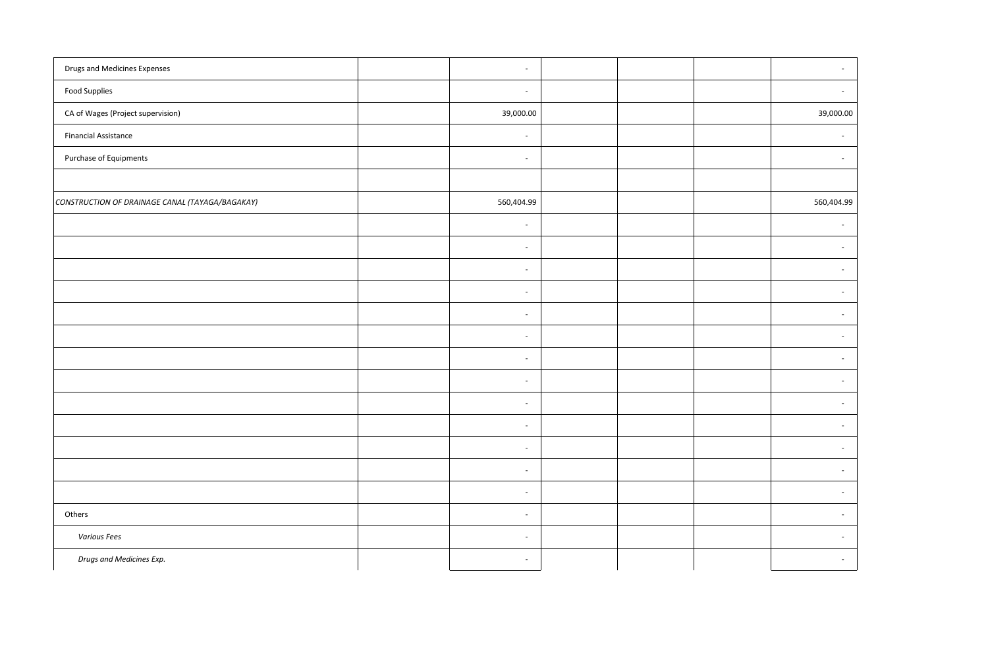| <b>Drugs and Medicines Expenses</b>             | $\sim$                   |  |            |
|-------------------------------------------------|--------------------------|--|------------|
| <b>Food Supplies</b>                            | $\sim$                   |  |            |
| CA of Wages (Project supervision)               | 39,000.00                |  |            |
| <b>Financial Assistance</b>                     | $\overline{\phantom{a}}$ |  |            |
| Purchase of Equipments                          | $\sim$                   |  |            |
|                                                 |                          |  |            |
| CONSTRUCTION OF DRAINAGE CANAL (TAYAGA/BAGAKAY) | 560,404.99               |  | 560,404.99 |
|                                                 | $\overline{\phantom{a}}$ |  |            |
|                                                 | $\sim$                   |  |            |
|                                                 | $\overline{\phantom{a}}$ |  |            |
|                                                 | $\overline{\phantom{a}}$ |  |            |
|                                                 | $\sim$                   |  |            |
|                                                 | $\overline{\phantom{a}}$ |  |            |
|                                                 | $\sim$                   |  |            |
|                                                 | $\sim$                   |  |            |
|                                                 | $\overline{\phantom{a}}$ |  |            |
|                                                 | $\sim$                   |  |            |
|                                                 | $\sim$                   |  |            |
|                                                 | $\overline{\phantom{a}}$ |  |            |
|                                                 | $\sim$                   |  |            |
| Others                                          | $\sim$                   |  |            |
| <b>Various Fees</b>                             | $\overline{\phantom{a}}$ |  |            |
| Drugs and Medicines Exp.                        | $\overline{\phantom{a}}$ |  |            |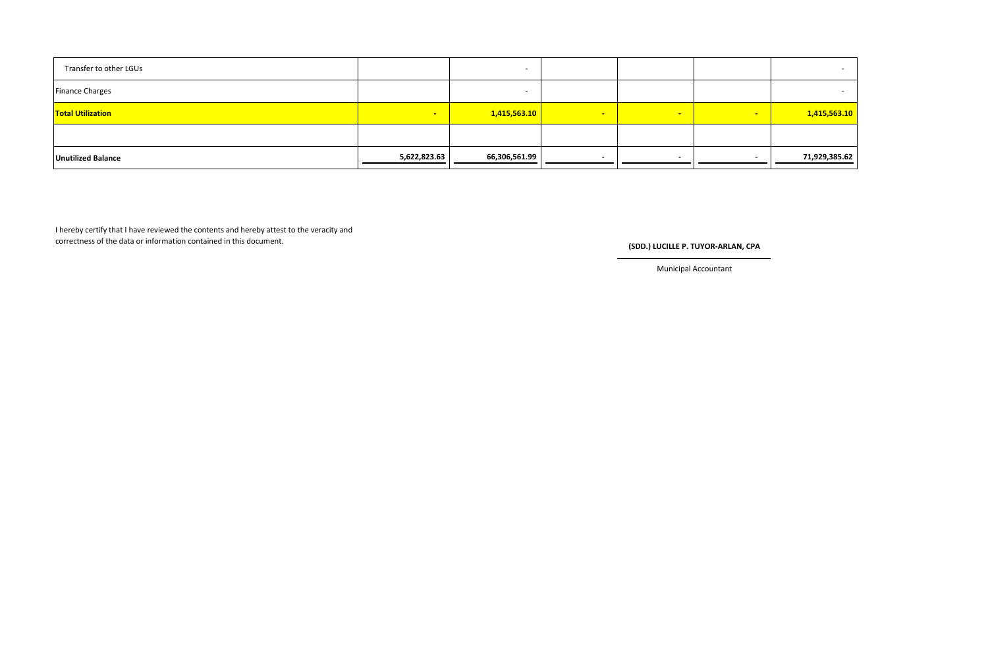| Transfer to other LGUs    |              | -             |          |                |   |               |
|---------------------------|--------------|---------------|----------|----------------|---|---------------|
| <b>Finance Charges</b>    |              |               |          |                |   |               |
| <b>Total Utilization</b>  | <b>CONT</b>  | 1,415,563.10  | <b>F</b> | $\blacksquare$ | - | 1,415,563.10  |
|                           |              |               |          |                |   |               |
| <b>Unutilized Balance</b> | 5,622,823.63 | 66,306,561.99 |          |                |   | 71,929,385.62 |

I hereby certify that I have reviewed the contents and hereby attest to the veracity and correctness of the data or information contained in this document. **(SDD.)** LUCILLE P. TUYOR-ARLAN, CPA

Municipal Accountant